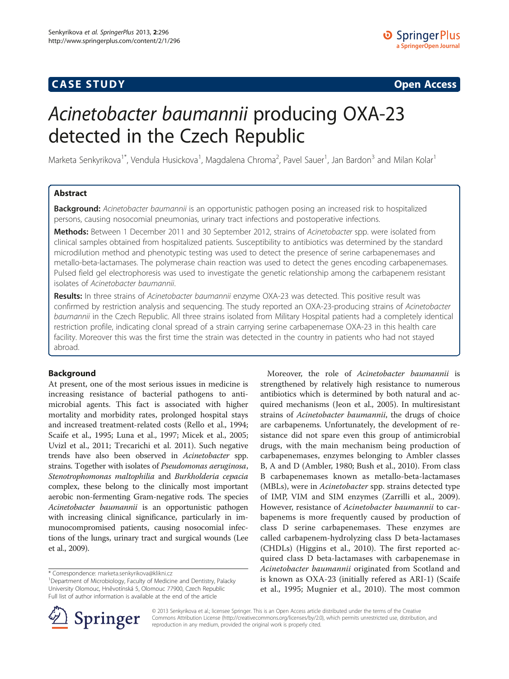## **CASE STUDY CASE STUDY Open Access**

# Acinetobacter baumannii producing OXA-23 detected in the Czech Republic

Marketa Senkyrikova<sup>1\*</sup>, Vendula Husickova<sup>1</sup>, Magdalena Chroma<sup>2</sup>, Pavel Sauer<sup>1</sup>, Jan Bardon<sup>3</sup> and Milan Kolar<sup>1</sup>

## Abstract

Background: Acinetobacter baumannii is an opportunistic pathogen posing an increased risk to hospitalized persons, causing nosocomial pneumonias, urinary tract infections and postoperative infections.

Methods: Between 1 December 2011 and 30 September 2012, strains of Acinetobacter spp. were isolated from clinical samples obtained from hospitalized patients. Susceptibility to antibiotics was determined by the standard microdilution method and phenotypic testing was used to detect the presence of serine carbapenemases and metallo-beta-lactamases. The polymerase chain reaction was used to detect the genes encoding carbapenemases. Pulsed field gel electrophoresis was used to investigate the genetic relationship among the carbapenem resistant isolates of Acinetobacter baumannii.

Results: In three strains of Acinetobacter baumannii enzyme OXA-23 was detected. This positive result was confirmed by restriction analysis and sequencing. The study reported an OXA-23-producing strains of Acinetobacter baumannii in the Czech Republic. All three strains isolated from Military Hospital patients had a completely identical restriction profile, indicating clonal spread of a strain carrying serine carbapenemase OXA-23 in this health care facility. Moreover this was the first time the strain was detected in the country in patients who had not stayed abroad.

## Background

At present, one of the most serious issues in medicine is increasing resistance of bacterial pathogens to antimicrobial agents. This fact is associated with higher mortality and morbidity rates, prolonged hospital stays and increased treatment-related costs (Rello et al., [1994](#page-5-0); Scaife et al., [1995](#page-5-0); Luna et al., [1997](#page-4-0); Micek et al., [2005](#page-4-0); Uvizl et al., [2011;](#page-5-0) Trecarichi et al. [2011\)](#page-5-0). Such negative trends have also been observed in Acinetobacter spp. strains. Together with isolates of Pseudomonas aeruginosa, Stenotrophomonas maltophilia and Burkholderia cepacia complex, these belong to the clinically most important aerobic non-fermenting Gram-negative rods. The species Acinetobacter baumannii is an opportunistic pathogen with increasing clinical significance, particularly in immunocompromised patients, causing nosocomial infections of the lungs, urinary tract and surgical wounds (Lee et al., [2009](#page-4-0)).

Moreover, the role of Acinetobacter baumannii is strengthened by relatively high resistance to numerous antibiotics which is determined by both natural and acquired mechanisms (Jeon et al., [2005\)](#page-4-0). In multiresistant strains of Acinetobacter baumannii, the drugs of choice are carbapenems. Unfortunately, the development of resistance did not spare even this group of antimicrobial drugs, with the main mechanism being production of carbapenemases, enzymes belonging to Ambler classes B, A and D (Ambler, [1980](#page-4-0); Bush et al., [2010\)](#page-4-0). From class B carbapenemases known as metallo-beta-lactamases (MBLs), were in Acinetobacter spp. strains detected type of IMP, VIM and SIM enzymes (Zarrilli et al., [2009](#page-5-0)). However, resistance of Acinetobacter baumannii to carbapenems is more frequently caused by production of class D serine carbapenemases. These enzymes are called carbapenem-hydrolyzing class D beta-lactamases (CHDLs) (Higgins et al., [2010\)](#page-4-0). The first reported acquired class D beta-lactamases with carbapenemase in Acinetobacter baumannii originated from Scotland and is known as OXA-23 (initially refered as ARI-1) (Scaife et al., [1995](#page-5-0); Mugnier et al., [2010\)](#page-4-0). The most common



© 2013 Senkyrikova et al.; licensee Springer. This is an Open Access article distributed under the terms of the Creative Commons Attribution License (<http://creativecommons.org/licenses/by/2.0>), which permits unrestricted use, distribution, and reproduction in any medium, provided the original work is properly cited.

<sup>\*</sup> Correspondence: [marketa.senkyrikova@klikni.cz](mailto:marketa.senkyrikova@klikni.cz) <sup>1</sup>

<sup>&</sup>lt;sup>1</sup>Department of Microbiology, Faculty of Medicine and Dentistry, Palacky University Olomouc, Hněvotínská 5, Olomouc 77900, Czech Republic Full list of author information is available at the end of the article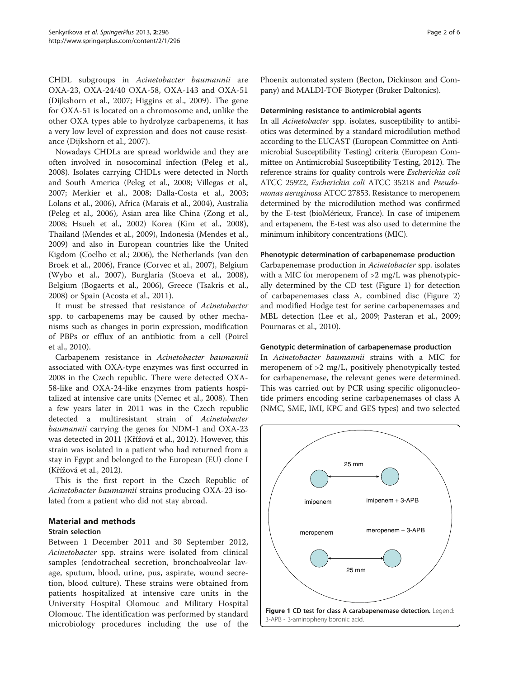CHDL subgroups in Acinetobacter baumannii are OXA-23, OXA-24/40 OXA-58, OXA-143 and OXA-51 (Dijkshorn et al., [2007](#page-4-0); Higgins et al., [2009\)](#page-4-0). The gene for OXA-51 is located on a chromosome and, unlike the other OXA types able to hydrolyze carbapenems, it has a very low level of expression and does not cause resistance (Dijkshorn et al., [2007](#page-4-0)).

Nowadays CHDLs are spread worldwide and they are often involved in nosocominal infection (Peleg et al., [2008](#page-5-0)). Isolates carrying CHDLs were detected in North and South America (Peleg et al., [2008;](#page-5-0) Villegas et al., [2007](#page-5-0); Merkier et al., [2008;](#page-4-0) Dalla-Costa et al., [2003](#page-4-0); Lolans et al., [2006\)](#page-4-0), Africa (Marais et al., [2004](#page-4-0)), Australia (Peleg et al., [2006\)](#page-5-0), Asian area like China (Zong et al., [2008](#page-5-0); Hsueh et al., [2002](#page-4-0)) Korea (Kim et al., [2008](#page-4-0)), Thailand (Mendes et al., [2009](#page-4-0)), Indonesia (Mendes et al., [2009](#page-4-0)) and also in European countries like the United Kigdom (Coelho et al.; [2006\)](#page-4-0), the Netherlands (van den Broek et al., [2006\)](#page-5-0), France (Corvec et al., [2007](#page-4-0)), Belgium (Wybo et al., [2007](#page-5-0)), Burglaria (Stoeva et al., [2008](#page-5-0)), Belgium (Bogaerts et al., [2006](#page-4-0)), Greece (Tsakris et al., [2008](#page-5-0)) or Spain (Acosta et al., [2011\)](#page-4-0).

It must be stressed that resistance of Acinetobacter spp. to carbapenems may be caused by other mechanisms such as changes in porin expression, modification of PBPs or efflux of an antibiotic from a cell (Poirel et al., [2010](#page-5-0)).

Carbapenem resistance in Acinetobacter baumannii associated with OXA-type enzymes was first occurred in 2008 in the Czech republic. There were detected OXA-58-like and OXA-24-like enzymes from patients hospitalized at intensive care units (Nemec et al., [2008](#page-4-0)). Then a few years later in 2011 was in the Czech republic detected a multiresistant strain of Acinetobacter baumannii carrying the genes for NDM-1 and OXA-23 was detected in 2011 (Křížová et al., [2012\)](#page-4-0). However, this strain was isolated in a patient who had returned from a stay in Egypt and belonged to the European (EU) clone I (Křížová et al., [2012](#page-4-0)).

This is the first report in the Czech Republic of Acinetobacter baumannii strains producing OXA-23 isolated from a patient who did not stay abroad.

## Material and methods

### Strain selection

Between 1 December 2011 and 30 September 2012, Acinetobacter spp. strains were isolated from clinical samples (endotracheal secretion, bronchoalveolar lavage, sputum, blood, urine, pus, aspirate, wound secretion, blood culture). These strains were obtained from patients hospitalized at intensive care units in the University Hospital Olomouc and Military Hospital Olomouc. The identification was performed by standard microbiology procedures including the use of the Phoenix automated system (Becton, Dickinson and Company) and MALDI-TOF Biotyper (Bruker Daltonics).

#### Determining resistance to antimicrobial agents

In all Acinetobacter spp. isolates, susceptibility to antibiotics was determined by a standard microdilution method according to the EUCAST (European Committee on Antimicrobial Susceptibility Testing) criteria (European Committee on Antimicrobial Susceptibility Testing, [2012\)](#page-4-0). The reference strains for quality controls were Escherichia coli ATCC 25922, Escherichia coli ATCC 35218 and Pseudomonas aeruginosa ATCC 27853. Resistance to meropenem determined by the microdilution method was confirmed by the E-test (bioMérieux, France). In case of imipenem and ertapenem, the E-test was also used to determine the minimum inhibitory concentrations (MIC).

## Phenotypic determination of carbapenemase production

Carbapenemase production in Acinetobacter spp. isolates with a MIC for meropenem of  $>2$  mg/L was phenotypically determined by the CD test (Figure 1) for detection of carbapenemases class A, combined disc (Figure [2](#page-2-0)) and modified Hodge test for serine carbapenemases and MBL detection (Lee et al., [2009](#page-4-0); Pasteran et al., [2009](#page-5-0); Pournaras et al., [2010](#page-5-0)).

## Genotypic determination of carbapenemase production

In Acinetobacter baumannii strains with a MIC for meropenem of >2 mg/L, positively phenotypically tested for carbapenemase, the relevant genes were determined. This was carried out by PCR using specific oligonucleotide primers encoding serine carbapenemases of class A (NMC, SME, IMI, KPC and GES types) and two selected

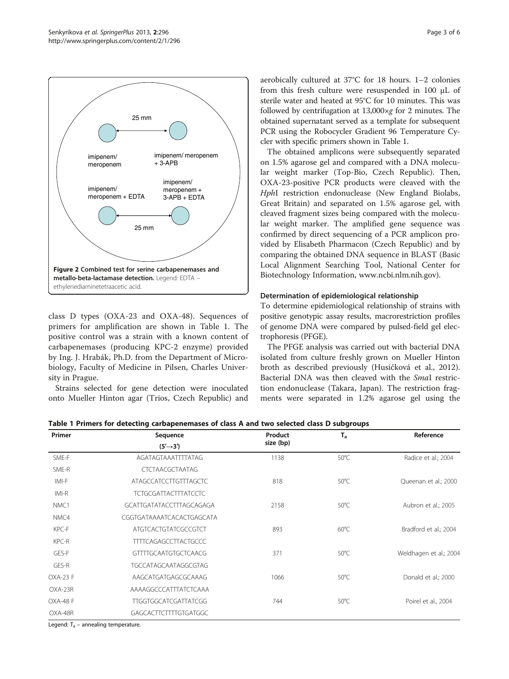<span id="page-2-0"></span>

class D types (OXA-23 and OXA-48). Sequences of primers for amplification are shown in Table 1. The positive control was a strain with a known content of carbapenemases (producing KPC-2 enzyme) provided by Ing. J. Hrabák, Ph.D. from the Department of Microbiology, Faculty of Medicine in Pilsen, Charles University in Prague.

Strains selected for gene detection were inoculated onto Mueller Hinton agar (Trios, Czech Republic) and aerobically cultured at 37°C for 18 hours. 1–2 colonies from this fresh culture were resuspended in 100 μL of sterile water and heated at 95°C for 10 minutes. This was followed by centrifugation at  $13,000 \times g$  for 2 minutes. The obtained supernatant served as a template for subsequent PCR using the Robocycler Gradient 96 Temperature Cycler with specific primers shown in Table 1.

The obtained amplicons were subsequently separated on 1.5% agarose gel and compared with a DNA molecular weight marker (Top-Bio, Czech Republic). Then, OXA-23-positive PCR products were cleaved with the HphI restriction endonuclease (New England Biolabs, Great Britain) and separated on 1.5% agarose gel, with cleaved fragment sizes being compared with the molecular weight marker. The amplified gene sequence was confirmed by direct sequencing of a PCR amplicon provided by Elisabeth Pharmacon (Czech Republic) and by comparing the obtained DNA sequence in BLAST (Basic Local Alignment Searching Tool, National Center for Biotechnology Information, [www.ncbi.nlm.nih.gov\)](http://www.ncbi.nlm.nih.gov).

## Determination of epidemiological relationship

To determine epidemiological relationship of strains with positive genotypic assay results, macrorestriction profiles of genome DNA were compared by pulsed-field gel electrophoresis (PFGE).

The PFGE analysis was carried out with bacterial DNA isolated from culture freshly grown on Mueller Hinton broth as described previously (Husičková et al., [2012](#page-4-0)). Bacterial DNA was then cleaved with the SmaI restriction endonuclease (Takara, Japan). The restriction fragments were separated in 1.2% agarose gel using the

| Primer           | Sequence<br>$(5' \rightarrow 3')$ | Product<br>size (bp) | $T_{a}$        | Reference              |
|------------------|-----------------------------------|----------------------|----------------|------------------------|
|                  |                                   |                      |                |                        |
| SME-R            | <b>CTCTAACGCTAATAG</b>            |                      |                |                        |
| IMI-F            | ATAGCCATCCTTGTTTAGCTC             | 818                  | $50^{\circ}$ C | Queenan et al.; 2000   |
| IMI-R            | <b>TCTGCGATTACTTTATCCTC</b>       |                      |                |                        |
| NMC <sub>1</sub> | GCATTGATATACCTTTAGCAGAGA          | 2158                 | $50^{\circ}$ C | Aubron et al.; 2005    |
| NMC4             | CGGTGATAAAATCACACTGAGCATA         |                      |                |                        |
| KPC-F            | <b>ATGTCACTGTATCGCCGTCT</b>       | 893                  | $60^{\circ}$ C | Bradford et al.; 2004  |
| KPC-R            | <b>TTTTCAGAGCCTTACTGCCC</b>       |                      |                |                        |
| GES-F            | <b>GTTTTGCAATGTGCTCAACG</b>       | 371                  | $50^{\circ}$ C | Weldhagen et al.; 2004 |
| GES-R            | TGCCATAGCAATAGGCGTAG              |                      |                |                        |
| OXA-23 F         | AAGCATGATGAGCGCAAAG               | 1066                 | $50^{\circ}$ C | Donald et al.; 2000    |
| OXA-23R          | AAAAGGCCCATTTATCTCAAA             |                      |                |                        |
| OXA-48 F         | <b>TTGGTGGCATCGATTATCGG</b>       | 744                  | $50^{\circ}$ C | Poirel et al., 2004    |
| OXA-48R          | <b>GAGCACTTCTTTTGTGATGGC</b>      |                      |                |                        |
|                  | $\cdot$ $\cdot$                   |                      |                |                        |

Table 1 Primers for detecting carbapenemases of class A and two selected class D subgroups

Legend:  $T_a$  – annealing temperature.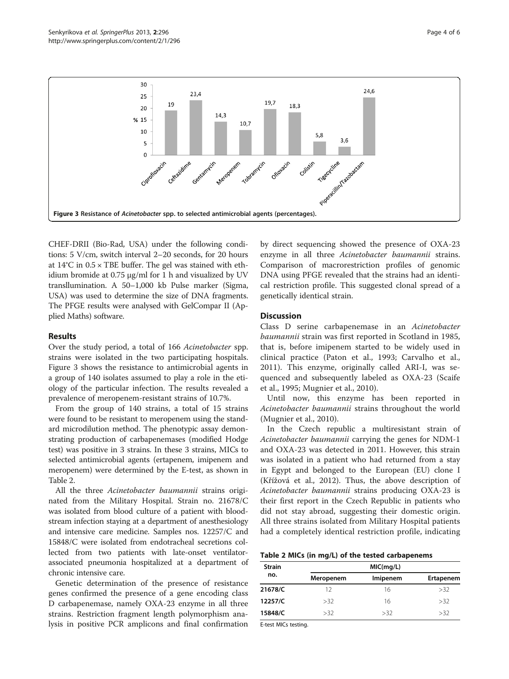

CHEF-DRII (Bio-Rad, USA) under the following conditions: 5 V/cm, switch interval 2–20 seconds, for 20 hours at  $14^{\circ}$ C in  $0.5 \times$  TBE buffer. The gel was stained with ethidium bromide at 0.75 μg/ml for 1 h and visualized by UV transllumination. A 50–1,000 kb Pulse marker (Sigma, USA) was used to determine the size of DNA fragments. The PFGE results were analysed with GelCompar II (Applied Maths) software.

## Results

Over the study period, a total of 166 Acinetobacter spp. strains were isolated in the two participating hospitals. Figure 3 shows the resistance to antimicrobial agents in a group of 140 isolates assumed to play a role in the etiology of the particular infection. The results revealed a prevalence of meropenem-resistant strains of 10.7%.

From the group of 140 strains, a total of 15 strains were found to be resistant to meropenem using the standard microdilution method. The phenotypic assay demonstrating production of carbapenemases (modified Hodge test) was positive in 3 strains. In these 3 strains, MICs to selected antimicrobial agents (ertapenem, imipenem and meropenem) were determined by the E-test, as shown in Table 2.

All the three Acinetobacter baumannii strains originated from the Military Hospital. Strain no. 21678/C was isolated from blood culture of a patient with bloodstream infection staying at a department of anesthesiology and intensive care medicine. Samples nos. 12257/C and 15848/C were isolated from endotracheal secretions collected from two patients with late-onset ventilatorassociated pneumonia hospitalized at a department of chronic intensive care.

Genetic determination of the presence of resistance genes confirmed the presence of a gene encoding class D carbapenemase, namely OXA-23 enzyme in all three strains. Restriction fragment length polymorphism analysis in positive PCR amplicons and final confirmation by direct sequencing showed the presence of OXA-23 enzyme in all three Acinetobacter baumannii strains. Comparison of macrorestriction profiles of genomic DNA using PFGE revealed that the strains had an identical restriction profile. This suggested clonal spread of a genetically identical strain.

## **Discussion**

Class D serine carbapenemase in an Acinetobacter baumannii strain was first reported in Scotland in 1985, that is, before imipenem started to be widely used in clinical practice (Paton et al., [1993](#page-5-0); Carvalho et al., [2011\)](#page-4-0). This enzyme, originally called ARI-I, was sequenced and subsequently labeled as OXA-23 (Scaife et al., [1995](#page-5-0); Mugnier et al., [2010](#page-4-0)).

Until now, this enzyme has been reported in Acinetobacter baumannii strains throughout the world (Mugnier et al., [2010](#page-4-0)).

In the Czech republic a multiresistant strain of Acinetobacter baumannii carrying the genes for NDM-1 and OXA-23 was detected in 2011. However, this strain was isolated in a patient who had returned from a stay in Egypt and belonged to the European (EU) clone I (Křížová et al., [2012](#page-4-0)). Thus, the above description of Acinetobacter baumannii strains producing OXA-23 is their first report in the Czech Republic in patients who did not stay abroad, suggesting their domestic origin. All three strains isolated from Military Hospital patients had a completely identical restriction profile, indicating

#### Table 2 MICs (in mg/L) of the tested carbapenems

| <b>Strain</b> | MIC(mg/L) |          |           |  |
|---------------|-----------|----------|-----------|--|
| no.           | Meropenem | Imipenem | Ertapenem |  |
| 21678/C       | 12        | 16       | >32       |  |
| 12257/C       | >32       | 16       | >32       |  |
| 15848/C       | >32       | >32      | >32       |  |

E-test MICs testing.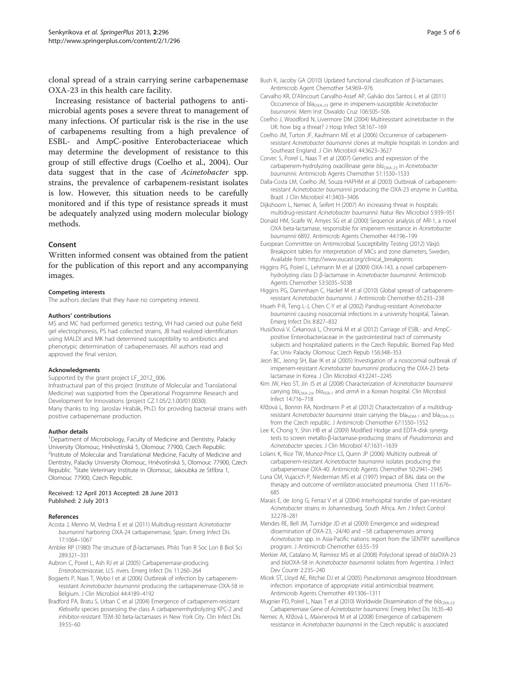<span id="page-4-0"></span>clonal spread of a strain carrying serine carbapenemase OXA-23 in this health care facility.

Increasing resistance of bacterial pathogens to antimicrobial agents poses a severe threat to management of many infections. Of particular risk is the rise in the use of carbapenems resulting from a high prevalence of ESBL- and AmpC-positive Enterobacteriaceae which may determine the development of resistance to this group of still effective drugs (Coelho et al., 2004). Our data suggest that in the case of Acinetobacter spp. strains, the prevalence of carbapenem-resistant isolates is low. However, this situation needs to be carefully monitored and if this type of resistance spreads it must be adequately analyzed using modern molecular biology methods.

## Consent

Written informed consent was obtained from the patient for the publication of this report and any accompanying images.

#### Competing interests

The authors declare that they have no competing interest.

#### Authors' contributions

MS and MC had performed genetics testing, VH had carried out pulse field gel electrophoresis, PS had collected strains, JB had realized identification using MALDI and MK had determined susceptibility to antibiotics and phenotypic determination of carbapenemases. All authors read and approved the final version.

#### Acknowledgments

Supported by the grant project LF\_2012\_006. Infrastructural part of this project (Institute of Molecular and Translational Medicine) was supported from the Operational Programme Research and Development for Innovations (project CZ.1.05/2.1.00/01.0030). Many thanks to Ing. Jaroslav Hrabák, Ph.D. for providing bacterial strains with positive carbapenemase production.

#### Author details

<sup>1</sup>Department of Microbiology, Faculty of Medicine and Dentistry, Palacky University Olomouc, Hněvotínská 5, Olomouc 77900, Czech Republic. <sup>2</sup> <sup>2</sup>Institute of Molecular and Translational Medicine, Faculty of Medicine and Dentistry, Palacky University Olomouc, Hněvotínská 5, Olomouc 77900, Czech Republic. <sup>3</sup>State Veterinary Institute in Olomouc, Jakoubka ze Stříbra 1, Olomouc 77900, Czech Republic.

#### Received: 12 April 2013 Accepted: 28 June 2013 Published: 2 July 2013

#### References

- Acosta J, Merino M, Viedma E et al (2011) Multidrug-resistant Acinetobacter baumannii harboring OXA-24 carbapenemase, Spain. Emerg Infect Dis 17:1064–1067
- Ambler RP (1980) The structure of β-lactamases. Philo Tran R Soc Lon B Biol Sci 289:321–331
- Aubron C, Poirel L, Ash RJ et al (2005) Carbapenemase-producing Enterobacteriaceae, U.S. rivers. Emerg Infect Dis 11:260–264
- Bogaerts P, Naas T, Wybo I et al (2006) Outbreak of infection by carbapenemresistant Acinetobacter baumannii producing the carbapenemase OXA-58 in Belgium. J Clin Microbiol 44:4189–4192
- Bradford PA, Bratu S, Urban C et al (2004) Emergence of carbapenem-resistant Klebsiella species possessing the class A carbapenemhydrolyzing KPC-2 and inhibitor-resistant TEM-30 beta-lactamases in New York City. Clin Infect Dis 39:55–60
- Bush K, Jacoby GA (2010) Updated functional classification of β-lactamases. Antimicrob Agent Chemother 54:969–976
- Carvalho KR, D'Alincourt Carvalho-Assef AP, Galvão dos Santos L et al (2011) Occurrence of bla<sub>OXA-23</sub> gene in imipenem-susceptible Acinetobacter baumannii. Mem Inst Oswaldo Cruz 106:505–506
- Coelho J, Woodford N, Livermore DM (2004) Multiresistant acinetobacter in the UK: how big a threat? J Hosp Infect 58:167–169
- Coelho JM, Turton JF, Kaufmann ME et al (2006) Occurrence of carbapenemresistant Acinetobacter baumannii clones at multiple hospitals in London and Southeast England. J Clin Microbiol 44:3623–3627
- Corvec S, Poirel L, Naas T et al (2007) Genetics and expression of the carbapenem-hydrolyzing oxacillinase gene bla<sub>OXA-23</sub> in Acinetobacter baumannii. Antimicrob Agents Chemother 51:1530–1533
- Dalla-Costa LM, Coelho JM, Souza HAPHM et al (2003) Outbreak of carbapenemresistant Acinetobacter baumannii producing the OXA-23 enzyme in Curitiba, Brazil. J Clin Microbiol 41:3403–3406
- Dijkshoorn L, Nemec A, Seifert H (2007) An increasing threat in hospitals: multidrug-resistant Acinetobacter baumannii. Natur Rev Microbiol 5:939–951
- Donald HM, Scaife W, Amyes SG et al (2000) Sequence analysis of ARI-1, a novel OXA beta-lactamase, responsible for imipenem resistance in Acinetobacter baumannii 6B92. Antimicrob Agents Chemother 44:196–199
- European Committee on Antimicrobial Susceptibility Testing (2012) Växjö. Breakpoint tables for interpretation of MICs and zone diameters, Sweden, Available from: [http://www.eucast.org/clinical\\_breakpoints](http://www.eucast.org/clinical_breakpoints)
- Higgins PG, Poirel L, Lehmann M et al (2009) OXA-143, a novel carbapenemhydrolyzing class D β-lactamase in Acinetobacter baumannii. Antimicrob Agents Chemother 53:5035–5038
- Higgins PG, Dammhayn C, Hackel M et al (2010) Global spread of carbapenemresistant Acinetobacter baumannii. J Antimicrob Chemother 65:233–238
- Hsueh P-R, Teng L-J, Chen C-Y et al (2002) Pandrug-resistant Acinetobacter baumannii causing nosocomial infections in a university hospital, Taiwan. Emerg Infect Dis 8:827–832
- Husičková V, Čekanová L, Chromá M et al (2012) Carriage of ESBL- and AmpCpositive Enterobacteriaceae in the gastrointestinal tract of community subjects and hospitalized patients in the Czech Republic. Biomed Pap Med Fac Univ Palacky Olomouc Czech Repub 156:348–353
- Jeon BC, Jeong SH, Bae IK et al (2005) Investigation of a nosocomial outbreak of imipenem-resistant Acinetobacter baumannii producing the OXA-23 betalactamase in Korea. J Clin Microbiol 43:2241–2245
- Kim JW, Heo ST, Jin JS et al (2008) Characterization of Acinetobacter baumannii carrying  $bla_{OXA-23}$ ,  $bla_{PER-1}$  and armA in a Korean hospital. Clin Microbiol Infect 14:716–718
- Křížová L, Bonnin RA, Nordmann P et al (2012) Characterization of a multidrugresistant Acinetobacter baumannii strain carrying the bla<sub>NDM-1</sub> and bla<sub>OXA-23</sub> from the Czech republic. J Antimicrob Chemother 67:1550–1552
- Lee K, Chong Y, Shin HB et al (2009) Modified Hodge and EDTA-disk synergy tests to screen metallo-β-lactamase-producing strains of Pseudomonas and Acinetobacter species. J Clin Microbiol 47:1631–1639
- Lolans K, Rice TW, Munoz-Price LS, Quinn JP (2006) Multicity outbreak of carbapenem-resistant Acinetobacter baumannii isolates producing the carbapenemase OXA-40. Antimicrob Agents Chemother 50:2941–2945
- Luna CM, Vujacich P, Niederman MS et al (1997) Impact of BAL data on the therapy and outcome of ventilator-associated pneumonia. Chest 111:676– 685
- Marais E, de Jong G, Ferraz V et al (2004) Interhospital transfer of pan-resistant Acinetobacter strains in Johannesburg, South Africa. Am J Infect Control 32:278–281
- Mendes RE, Bell JM, Turnidge JD et al (2009) Emergence and widespread dissemination of OXA-23, -24/40 and −58 carbapenemases among Acinetobacter spp. in Asia-Pacific nations: report from the SENTRY surveillance program. J Antimicrob Chemother 63:55–59
- Merkier AK, Catalano M, Ramirez MS et al (2008) Polyclonal spread of blaOXA-23 and blaOXA-58 in Acinetobacter baumannii isolates from Argentina. J Infect Dev Countr 2:235–240
- Micek ST, Lloyd AE, Ritchie DJ et al (2005) Pseudomonas aeruginosa bloodstream infection: importance of appropriate initial antimicrobial treatment. Antimicrob Agents Chemother 49:1306–1311
- Mugnier PD, Poirel L, Naas T et al (2010) Worldwide Dissemination of the  $bla_{\text{OXA-23}}$ Carbapenemase Gene of Acinetobacter baumannii. Emerg Infect Dis 16:35–40
- Nemec A, Křížová L, Maixnerová M et al (2008) Emergence of carbapenem resistance in Acinetobacter baumannii in the Czech republic is associated